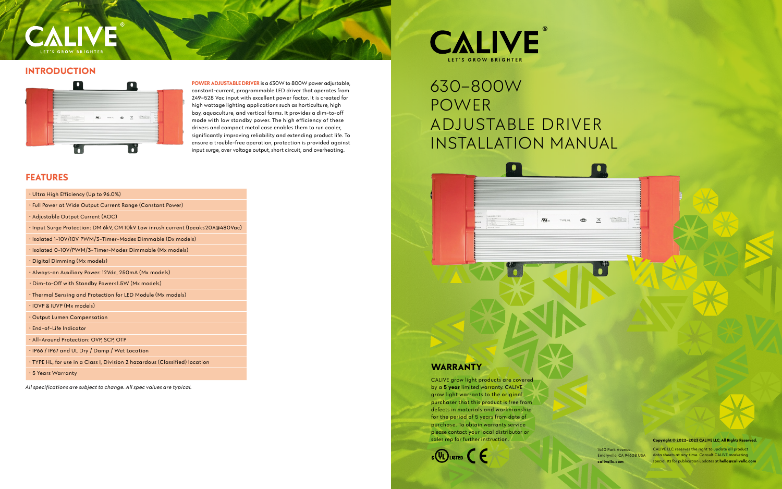CALIVE grow light products are covered by a **5 year** limited warranty. CALIVE grow light warrants to the original purchaser that this product is free from defects in materials and workmanship for the period of 5 years from date of purchase. To obtain warranty service please contact your local distributor or sales rep for further instruction.



# 630–800W POWER ADJUSTABLE DRIVER INSTALLATION MANUAL

#### **WARRANTY**

**Example 2.1** on the specialists for publication updates at **hello@calivellc.com** CALIVE LLC reserves the right to update all product data sheets at any time. Consult CALIVE marketing

# **ET'S GROW BRIGHT**

#### **INTRODUCTION**



1460 Park Avenue. Emeryville, CA 94608 USA



 $\bullet$ 

 $\mathbb X$ 

 $\frac{1}{2}$ 

**Copyright © 2022–2023 CALIVE LLC, All Rights Reserved.**

*All specifications are subject to change. All spec values are typical.*

# **CALIVE IFT'S GROW RRIGHTE**

### **FEATURES**

| · Ultra High Efficiency (Up to 96.0%)                                           |
|---------------------------------------------------------------------------------|
| • Full Power at Wide Output Current Range (Constant Power)                      |
| • Adjustable Output Current (AOC)                                               |
| • Input Surge Protection: DM 6kV, CM 10kV Low inrush current (Ipeak≤20A@480Vac) |
| · Isolated 1-10V/10V PWM/3-Timer-Modes Dimmable (Dx models)                     |
| · Isolated 0-10V/PWM/3-Timer-Modes Dimmable (Mx models)                         |
| · Digital Dimming (Mx models)                                                   |
| • Always–on Auxiliary Power: 12Vdc, 250mA (Mx models)                           |
| • Dim-to-Off with Standby Power≤1.5W (Mx models)                                |
| • Thermal Sensing and Protection for LED Module (Mx models)                     |
| · IOVP & IUVP (Mx models)                                                       |
| Output Lumen Compensation                                                       |
| · End-of-Life Indicator                                                         |
| · All-Around Protection: OVP, SCP, OTP                                          |
| · IP66 / IP67 and UL Dry / Damp / Wet Location                                  |
| • TYPE HL, for use in a Class I, Division 2 hazardous (Classified) location     |
| . 5 Years Warranty                                                              |
|                                                                                 |

**POWER ADJUSTABLE DRIVER** is a 630W to 800W power adjustable, constant-current, programmable LED driver that operates from 249–528 Vac input with excellent power factor. It is created for high wattage lighting applications such as horticulture, high bay, aquaculture, and vertical farms. It provides a dim-to-off mode with low standby power. The high efficiency of these drivers and compact metal case enables them to run cooler, significantly improving reliability and extending product life. To ensure a trouble-free operation, protection is provided against input surge, over voltage output, short circuit, and overheating.